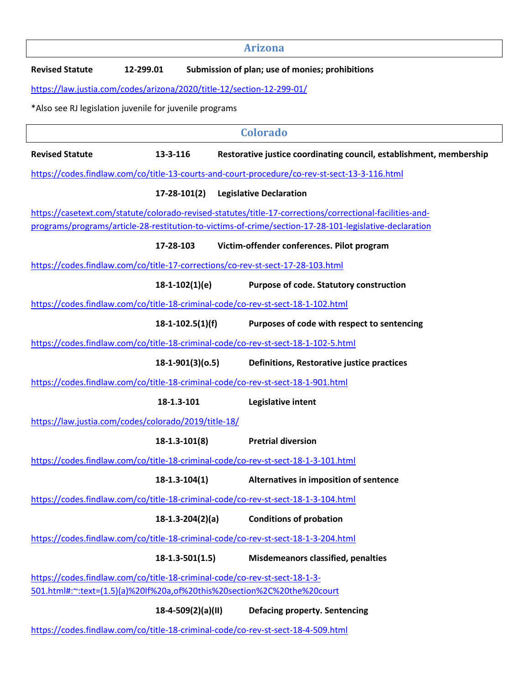| <b>Revised Statute</b>                                  | 12-299.01 |                     | Submission of plan; use of monies; prohibitions                                                          |
|---------------------------------------------------------|-----------|---------------------|----------------------------------------------------------------------------------------------------------|
|                                                         |           |                     | https://law.justia.com/codes/arizona/2020/title-12/section-12-299-01/                                    |
| *Also see RJ legislation juvenile for juvenile programs |           |                     |                                                                                                          |
|                                                         |           |                     | <b>Colorado</b>                                                                                          |
| <b>Revised Statute</b>                                  | 13-3-116  |                     | Restorative justice coordinating council, establishment, membership                                      |
|                                                         |           |                     | https://codes.findlaw.com/co/title-13-courts-and-court-procedure/co-rev-st-sect-13-3-116.html            |
|                                                         |           | $17 - 28 - 101(2)$  | <b>Legislative Declaration</b>                                                                           |
|                                                         |           |                     | https://casetext.com/statute/colorado-revised-statutes/title-17-corrections/correctional-facilities-and- |
|                                                         |           |                     | programs/programs/article-28-restitution-to-victims-of-crime/section-17-28-101-legislative-declaration   |
|                                                         | 17-28-103 |                     | Victim-offender conferences. Pilot program                                                               |
|                                                         |           |                     | https://codes.findlaw.com/co/title-17-corrections/co-rev-st-sect-17-28-103.html                          |
|                                                         |           | $18-1-102(1)(e)$    | Purpose of code. Statutory construction                                                                  |
|                                                         |           |                     | https://codes.findlaw.com/co/title-18-criminal-code/co-rev-st-sect-18-1-102.html                         |
|                                                         |           | $18-1-102.5(1)(f)$  | Purposes of code with respect to sentencing                                                              |
|                                                         |           |                     | https://codes.findlaw.com/co/title-18-criminal-code/co-rev-st-sect-18-1-102-5.html                       |
|                                                         |           | $18-1-901(3)(0.5)$  | Definitions, Restorative justice practices                                                               |
|                                                         |           |                     | https://codes.findlaw.com/co/title-18-criminal-code/co-rev-st-sect-18-1-901.html                         |
|                                                         |           | 18-1.3-101          | Legislative intent                                                                                       |
| https://law.justia.com/codes/colorado/2019/title-18/    |           |                     |                                                                                                          |
|                                                         |           | $18 - 1.3 - 101(8)$ | <b>Pretrial diversion</b>                                                                                |
|                                                         |           |                     | https://codes.findlaw.com/co/title-18-criminal-code/co-rev-st-sect-18-1-3-101.html                       |
|                                                         |           | $18 - 1.3 - 104(1)$ | Alternatives in imposition of sentence                                                                   |
|                                                         |           |                     | https://codes.findlaw.com/co/title-18-criminal-code/co-rev-st-sect-18-1-3-104.html                       |
|                                                         |           | $18-1.3-204(2)(a)$  | <b>Conditions of probation</b>                                                                           |
|                                                         |           |                     | https://codes.findlaw.com/co/title-18-criminal-code/co-rev-st-sect-18-1-3-204.html                       |
|                                                         |           | $18-1.3-501(1.5)$   | <b>Misdemeanors classified, penalties</b>                                                                |
|                                                         |           |                     | https://codes.findlaw.com/co/title-18-criminal-code/co-rev-st-sect-18-1-3-                               |
|                                                         |           |                     | 501.html#:~:text=(1.5)(a)%20If%20a,of%20this%20section%2C%20the%20court                                  |
|                                                         |           | 18-4-509(2)(a)(II)  | <b>Defacing property. Sentencing</b>                                                                     |
|                                                         |           |                     | https://codes.findlaw.com/co/title-18-criminal-code/co-rev-st-sect-18-4-509.html                         |

**Arizona** 

 $\mathsf{I}$ 

 $\sqrt{2}$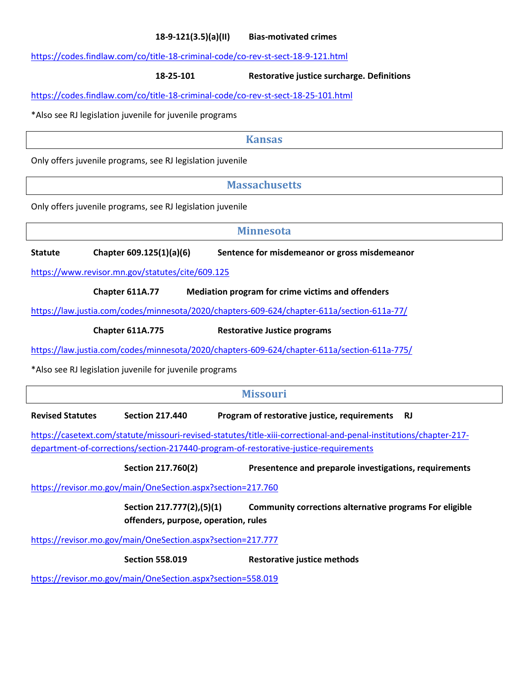#### **18-9-121(3.5)(a)(II) Bias-motivated crimes**

https://codes.findlaw.com/co/title-18-criminal-code/co-rev-st-sect-18-9-121.html

**18-25-101 Restorative justice surcharge. Definitions**

https://codes.findlaw.com/co/title-18-criminal-code/co-rev-st-sect-18-25-101.html

\*Also see RJ legislation juvenile for juvenile programs

**Kansas** 

Only offers juvenile programs, see RJ legislation juvenile

**Massachusetts** 

Only offers juvenile programs, see RJ legislation juvenile

**Minnesota** 

**Statute Chapter 609.125(1)(a)(6) Sentence for misdemeanor or gross misdemeanor**

https://www.revisor.mn.gov/statutes/cite/609.125

 **Chapter 611A.77 Mediation program for crime victims and offenders** 

https://law.justia.com/codes/minnesota/2020/chapters-609-624/chapter-611a/section-611a-77/

 **Chapter 611A.775 Restorative Justice programs** 

https://law.justia.com/codes/minnesota/2020/chapters-609-624/chapter-611a/section-611a-775/

\*Also see RJ legislation juvenile for juvenile programs

| <b>Missouri</b>                                                                                                                                                                                            |                                                                   |                                                           |  |  |  |
|------------------------------------------------------------------------------------------------------------------------------------------------------------------------------------------------------------|-------------------------------------------------------------------|-----------------------------------------------------------|--|--|--|
| <b>Revised Statutes</b>                                                                                                                                                                                    | <b>Section 217.440</b>                                            | Program of restorative justice, requirements<br><b>RJ</b> |  |  |  |
| https://casetext.com/statute/missouri-revised-statutes/title-xiii-correctional-and-penal-institutions/chapter-217-<br>department-of-corrections/section-217440-program-of-restorative-justice-requirements |                                                                   |                                                           |  |  |  |
|                                                                                                                                                                                                            | Section 217.760(2)                                                | Presentence and preparole investigations, requirements    |  |  |  |
|                                                                                                                                                                                                            | https://revisor.mo.gov/main/OneSection.aspx?section=217.760       |                                                           |  |  |  |
|                                                                                                                                                                                                            | Section 217.777(2),(5)(1)<br>offenders, purpose, operation, rules | Community corrections alternative programs For eligible   |  |  |  |
| https://revisor.mo.gov/main/OneSection.aspx?section=217.777                                                                                                                                                |                                                                   |                                                           |  |  |  |
|                                                                                                                                                                                                            | <b>Section 558.019</b>                                            | Restorative justice methods                               |  |  |  |
| https://revisor.mo.gov/main/OneSection.aspx?section=558.019                                                                                                                                                |                                                                   |                                                           |  |  |  |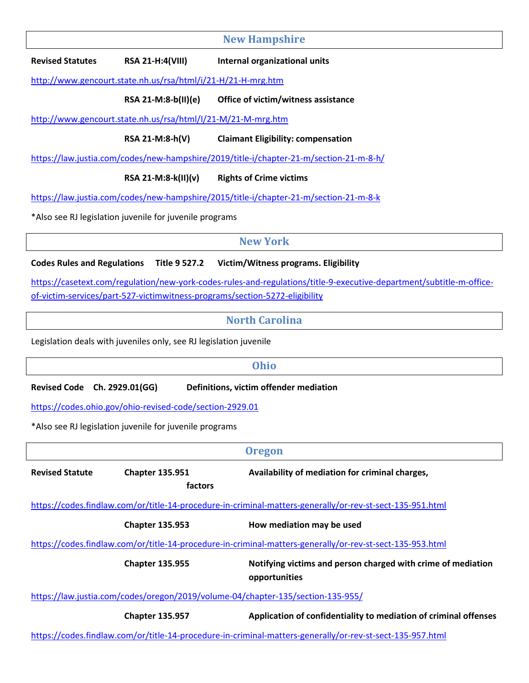**New Hampshire** 

**Revised Statutes RSA 21-H:4(VIII) Internal organizational units**

http://www.gencourt.state.nh.us/rsa/html/i/21-H/21-H-mrg.htm

**RSA 21-M:8-b(II)(e) Office of victim/witness assistance**

http://www.gencourt.state.nh.us/rsa/html/I/21-M/21-M-mrg.htm

**RSA 21-M:8-h(V) Claimant Eligibility: compensation**

https://law.justia.com/codes/new-hampshire/2019/title-i/chapter-21-m/section-21-m-8-h/

**RSA 21-M:8-k(II)(v) Rights of Crime victims**

https://law.justia.com/codes/new-hampshire/2015/title-i/chapter-21-m/section-21-m-8-k

\*Also see RJ legislation juvenile for juvenile programs

### **New York**

#### **Codes Rules and Regulations Title 9 527.2 Victim/Witness programs. Eligibility**

https://casetext.com/regulation/new-york-codes-rules-and-regulations/title-9-executive-department/subtitle-m-officeof-victim-services/part-527-victimwitness-programs/section-5272-eligibility

## **North Carolina**

Legislation deals with juveniles only, see RJ legislation juvenile

#### **Ohio**

**Revised Code Ch. 2929.01(GG) Definitions, victim offender mediation**

https://codes.ohio.gov/ohio-revised-code/section-2929.01

\*Also see RJ legislation juvenile for juvenile programs

|                                                                                                           |                                   | <b>Oregon</b>                                                                                             |  |  |
|-----------------------------------------------------------------------------------------------------------|-----------------------------------|-----------------------------------------------------------------------------------------------------------|--|--|
| <b>Revised Statute</b>                                                                                    | <b>Chapter 135.951</b><br>factors | Availability of mediation for criminal charges,                                                           |  |  |
| https://codes.findlaw.com/or/title-14-procedure-in-criminal-matters-generally/or-rev-st-sect-135-951.html |                                   |                                                                                                           |  |  |
|                                                                                                           | <b>Chapter 135.953</b>            | How mediation may be used                                                                                 |  |  |
|                                                                                                           |                                   | https://codes.findlaw.com/or/title-14-procedure-in-criminal-matters-generally/or-rev-st-sect-135-953.html |  |  |
|                                                                                                           | <b>Chapter 135.955</b>            | Notifying victims and person charged with crime of mediation<br>opportunities                             |  |  |
| https://law.justia.com/codes/oregon/2019/volume-04/chapter-135/section-135-955/                           |                                   |                                                                                                           |  |  |
|                                                                                                           | <b>Chapter 135.957</b>            | Application of confidentiality to mediation of criminal offenses                                          |  |  |
|                                                                                                           |                                   | https://codes.findlaw.com/or/title-14-procedure-in-criminal-matters-generally/or-rev-st-sect-135-957.html |  |  |